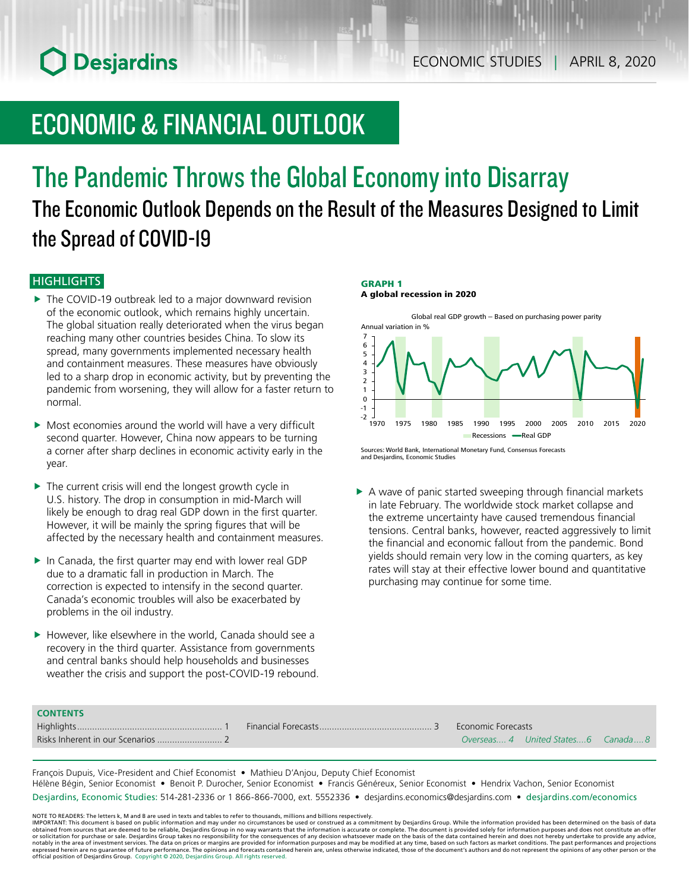# ECONOMIC & FINANCIAL OUTLOOK

## The Pandemic Throws the Global Economy into Disarray The Economic Outlook Depends on the Result of the Measures Designed to Limit the Spread of COVID-19

## **HIGHLIGHTS**

**CONTENTS**

- $\blacktriangleright$  The COVID-19 outbreak led to a major downward revision of the economic outlook, which remains highly uncertain. The global situation really deteriorated when the virus began reaching many other countries besides China. To slow its spread, many governments implemented necessary health and containment measures. These measures have obviously led to a sharp drop in economic activity, but by preventing the pandemic from worsening, they will allow for a faster return to normal.
- $\triangleright$  Most economies around the world will have a very difficult second quarter. However, China now appears to be turning a corner after sharp declines in economic activity early in the year.
- $\blacktriangleright$  The current crisis will end the longest growth cycle in U.S. history. The drop in consumption in mid-March will likely be enough to drag real GDP down in the first quarter. However, it will be mainly the spring figures that will be affected by the necessary health and containment measures.
- $\blacktriangleright$  In Canada, the first quarter may end with lower real GDP due to a dramatic fall in production in March. The correction is expected to intensify in the second quarter. Canada's economic troubles will also be exacerbated by problems in the oil industry.
- $\blacktriangleright$  However, like elsewhere in the world, Canada should see a recovery in the third quarter. Assistance from governments and central banks should help households and businesses weather the crisis and support the post-COVID-19 rebound.

### GRAPH 1

A global recession in 2020



Sources: World Bank, International Monetary Fund, Consensus Forecasts and Desjardins, Economic Studies

 $\triangleright$  A wave of panic started sweeping through financial markets in late February. The worldwide stock market collapse and the extreme uncertainty have caused tremendous financial tensions. Central banks, however, reacted aggressively to limit the financial and economic fallout from the pandemic. Bond yields should remain very low in the coming quarters, as key rates will stay at their effective lower bound and quantitative purchasing may continue for some time.

| <b>CONTLINI</b> S |                           |                                     |  |
|-------------------|---------------------------|-------------------------------------|--|
|                   | <b>Economic Forecasts</b> |                                     |  |
|                   |                           | Overseas 4 United States 6 Canada 8 |  |
|                   |                           |                                     |  |

François Dupuis, Vice-President and Chief Economist • Mathieu D'Anjou, Deputy Chief Economist Hélène Bégin, Senior Economist • Benoit P. Durocher, Senior Economist • Francis Généreux, Senior Economist • Hendrix Vachon, Senior Economist Desjardins, Economic Studies: 514-281-2336 or 1 866-866-7000, ext. 5552336 • desjardins.economics@desjardins.com • [desjardins.com/economics](http://desjardins.com/economics)

NOTE TO READERS: The letters k, M and B are used in texts and tables to refer to thousands, millions and billions respectively.<br>IMPORTANT: This document is based on public information and may under no circumstances be used obtained from sources that are deemed to be reliable, Desjardins Group in no way warrants that the information is accurate or complete. The document is provided solely for information purposes and does not constitute an of expressed herein are no guarantee of future performance. The opinions and forecasts contained herein are, unless otherwise indicated, those of the document's authors and do not represent the opinions of any other person or official position of Desjardins Group. Copyright © 2020, Desjardins Group. All rights reserved.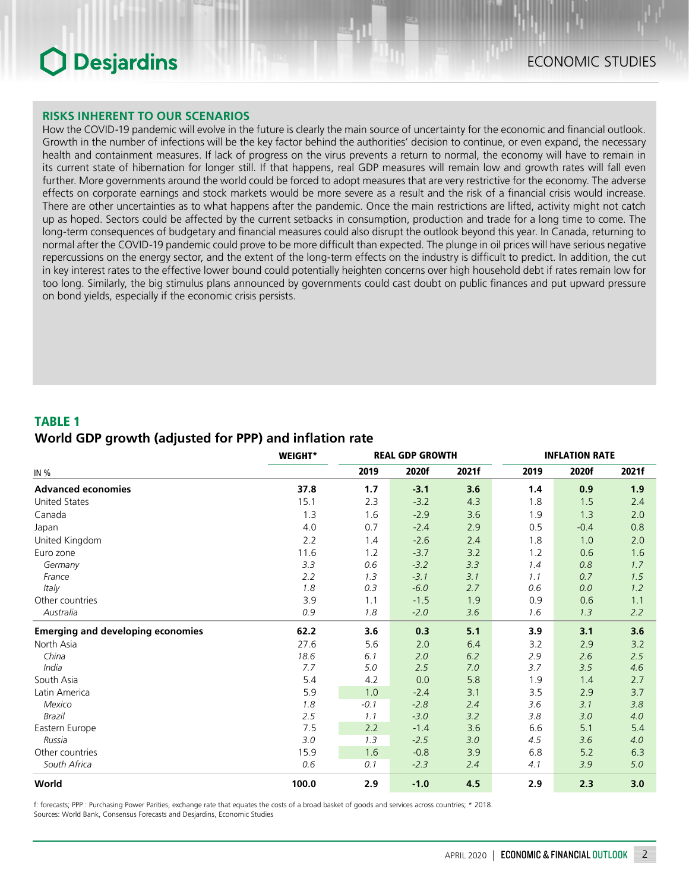### **RISKS INHERENT TO OUR SCENARIOS**

How the COVID-19 pandemic will evolve in the future is clearly the main source of uncertainty for the economic and financial outlook. Growth in the number of infections will be the key factor behind the authorities' decision to continue, or even expand, the necessary health and containment measures. If lack of progress on the virus prevents a return to normal, the economy will have to remain in its current state of hibernation for longer still. If that happens, real GDP measures will remain low and growth rates will fall even further. More governments around the world could be forced to adopt measures that are very restrictive for the economy. The adverse effects on corporate earnings and stock markets would be more severe as a result and the risk of a financial crisis would increase. There are other uncertainties as to what happens after the pandemic. Once the main restrictions are lifted, activity might not catch up as hoped. Sectors could be affected by the current setbacks in consumption, production and trade for a long time to come. The long-term consequences of budgetary and financial measures could also disrupt the outlook beyond this year. In Canada, returning to normal after the COVID‑19 pandemic could prove to be more difficult than expected. The plunge in oil prices will have serious negative repercussions on the energy sector, and the extent of the long-term effects on the industry is difficult to predict. In addition, the cut in key interest rates to the effective lower bound could potentially heighten concerns over high household debt if rates remain low for too long. Similarly, the big stimulus plans announced by governments could cast doubt on public finances and put upward pressure on bond yields, especially if the economic crisis persists.

### TABLE 1

### *World GDP growth (adjusted for PPP) and inflation rate*

|                                          | <b>WEIGHT*</b> |        | <b>REAL GDP GROWTH</b> |       |      | <b>INFLATION RATE</b> |       |  |  |
|------------------------------------------|----------------|--------|------------------------|-------|------|-----------------------|-------|--|--|
| IN %                                     |                | 2019   | 2020f                  | 2021f | 2019 | 2020f                 | 2021f |  |  |
| <b>Advanced economies</b>                | 37.8           | 1.7    | $-3.1$                 | 3.6   | 1.4  | 0.9                   | 1.9   |  |  |
| <b>United States</b>                     | 15.1           | 2.3    | $-3.2$                 | 4.3   | 1.8  | 1.5                   | 2.4   |  |  |
| Canada                                   | 1.3            | 1.6    | $-2.9$                 | 3.6   | 1.9  | 1.3                   | 2.0   |  |  |
| Japan                                    | 4.0            | 0.7    | $-2.4$                 | 2.9   | 0.5  | $-0.4$                | 0.8   |  |  |
| United Kingdom                           | 2.2            | 1.4    | $-2.6$                 | 2.4   | 1.8  | 1.0                   | 2.0   |  |  |
| Euro zone                                | 11.6           | 1.2    | $-3.7$                 | 3.2   | 1.2  | 0.6                   | 1.6   |  |  |
| Germany                                  | 3.3            | 0.6    | $-3.2$                 | 3.3   | 1.4  | 0.8                   | 1.7   |  |  |
| France                                   | 2.2            | 1.3    | $-3.1$                 | 3.1   | 1.1  | 0.7                   | 1.5   |  |  |
| Italy                                    | 1.8            | 0.3    | $-6.0$                 | 2.7   | 0.6  | 0.0                   | 1.2   |  |  |
| Other countries                          | 3.9            | 1.1    | $-1.5$                 | 1.9   | 0.9  | 0.6                   | 1.1   |  |  |
| Australia                                | 0.9            | 1.8    | $-2.0$                 | 3.6   | 1.6  | 1.3                   | 2.2   |  |  |
| <b>Emerging and developing economies</b> | 62.2           | 3.6    | 0.3                    | 5.1   | 3.9  | 3.1                   | 3.6   |  |  |
| North Asia                               | 27.6           | 5.6    | 2.0                    | 6.4   | 3.2  | 2.9                   | 3.2   |  |  |
| China                                    | 18.6           | 6.1    | 2.0                    | 6.2   | 2.9  | 2.6                   | 2.5   |  |  |
| India                                    | 7.7            | 5.0    | 2.5                    | 7.0   | 3.7  | 3.5                   | 4.6   |  |  |
| South Asia                               | 5.4            | 4.2    | 0.0                    | 5.8   | 1.9  | 1.4                   | 2.7   |  |  |
| Latin America                            | 5.9            | 1.0    | $-2.4$                 | 3.1   | 3.5  | 2.9                   | 3.7   |  |  |
| Mexico                                   | 1.8            | $-0.1$ | $-2.8$                 | 2.4   | 3.6  | 3.1                   | 3.8   |  |  |
| Brazil                                   | 2.5            | 1.1    | $-3.0$                 | 3.2   | 3.8  | 3.0                   | 4.0   |  |  |
| Eastern Europe                           | 7.5            | 2.2    | $-1.4$                 | 3.6   | 6.6  | 5.1                   | 5.4   |  |  |
| Russia                                   | 3.0            | 1.3    | $-2.5$                 | 3.0   | 4.5  | 3.6                   | 4.0   |  |  |
| Other countries                          | 15.9           | 1.6    | $-0.8$                 | 3.9   | 6.8  | 5.2                   | 6.3   |  |  |
| South Africa                             | 0.6            | 0.1    | $-2.3$                 | 2.4   | 4.1  | 3.9                   | 5.0   |  |  |
| World                                    | 100.0          | 2.9    | $-1.0$                 | 4.5   | 2.9  | 2.3                   | 3.0   |  |  |

f: forecasts; PPP : Purchasing Power Parities, exchange rate that equates the costs of a broad basket of goods and services across countries; \* 2018. Sources: World Bank, Consensus Forecasts and Desjardins, Economic Studies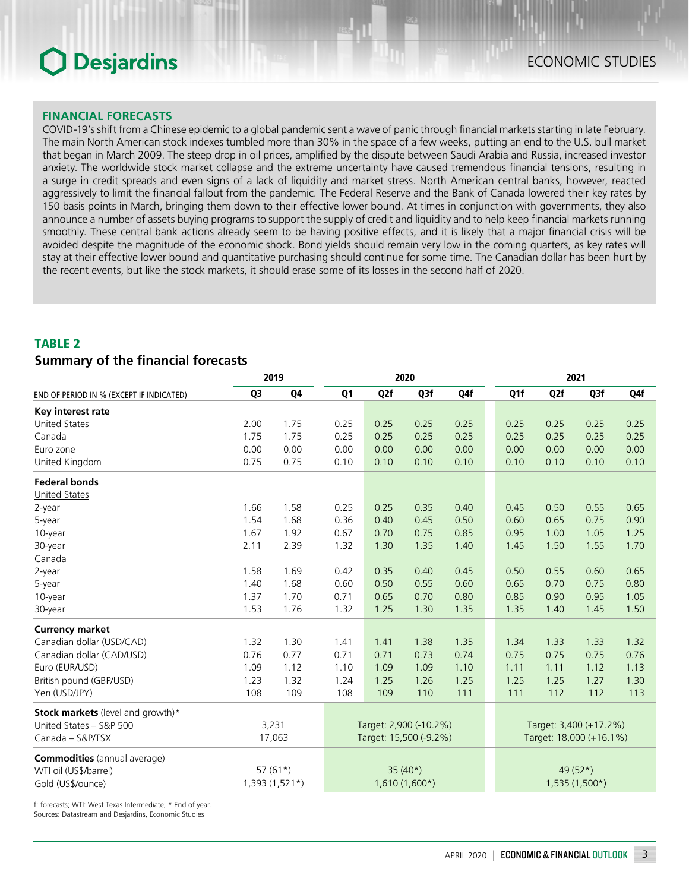### **FINANCIAL FORECASTS**

COVID‑19's shift from a Chinese epidemic to a global pandemic sent a wave of panic through financial markets starting in late February. The main North American stock indexes tumbled more than 30% in the space of a few weeks, putting an end to the U.S. bull market that began in March 2009. The steep drop in oil prices, amplified by the dispute between Saudi Arabia and Russia, increased investor anxiety. The worldwide stock market collapse and the extreme uncertainty have caused tremendous financial tensions, resulting in a surge in credit spreads and even signs of a lack of liquidity and market stress. North American central banks, however, reacted aggressively to limit the financial fallout from the pandemic. The Federal Reserve and the Bank of Canada lowered their key rates by 150 basis points in March, bringing them down to their effective lower bound. At times in conjunction with governments, they also announce a number of assets buying programs to support the supply of credit and liquidity and to help keep financial markets running smoothly. These central bank actions already seem to be having positive effects, and it is likely that a major financial crisis will be avoided despite the magnitude of the economic shock. Bond yields should remain very low in the coming quarters, as key rates will stay at their effective lower bound and quantitative purchasing should continue for some time. The Canadian dollar has been hurt by the recent events, but like the stock markets, it should erase some of its losses in the second half of 2020.

## TABLE 2 *Summary of the financial forecasts*

|                                          |                | 2019            | 2020                   |                        |                 |                         | 2021                   |                  |                 |      |
|------------------------------------------|----------------|-----------------|------------------------|------------------------|-----------------|-------------------------|------------------------|------------------|-----------------|------|
| END OF PERIOD IN % (EXCEPT IF INDICATED) | Q <sub>3</sub> | Q4              | Q <sub>1</sub>         | Q <sub>2</sub> f       | Q3f             | Q4f                     | Q1f                    | Q <sub>2</sub> f | Q3f             | Q4f  |
| Key interest rate                        |                |                 |                        |                        |                 |                         |                        |                  |                 |      |
| <b>United States</b>                     | 2.00           | 1.75            | 0.25                   | 0.25                   | 0.25            | 0.25                    | 0.25                   | 0.25             | 0.25            | 0.25 |
| Canada                                   | 1.75           | 1.75            | 0.25                   | 0.25                   | 0.25            | 0.25                    | 0.25                   | 0.25             | 0.25            | 0.25 |
| Euro zone                                | 0.00           | 0.00            | 0.00                   | 0.00                   | 0.00            | 0.00                    | 0.00                   | 0.00             | 0.00            | 0.00 |
| United Kingdom                           | 0.75           | 0.75            | 0.10                   | 0.10                   | 0.10            | 0.10                    | 0.10                   | 0.10             | 0.10            | 0.10 |
| <b>Federal bonds</b>                     |                |                 |                        |                        |                 |                         |                        |                  |                 |      |
| <b>United States</b>                     |                |                 |                        |                        |                 |                         |                        |                  |                 |      |
| 2-year                                   | 1.66           | 1.58            | 0.25                   | 0.25                   | 0.35            | 0.40                    | 0.45                   | 0.50             | 0.55            | 0.65 |
| 5-year                                   | 1.54           | 1.68            | 0.36                   | 0.40                   | 0.45            | 0.50                    | 0.60                   | 0.65             | 0.75            | 0.90 |
| 10-year                                  | 1.67           | 1.92            | 0.67                   | 0.70                   | 0.75            | 0.85                    | 0.95                   | 1.00             | 1.05            | 1.25 |
| 30-year                                  | 2.11           | 2.39            | 1.32                   | 1.30                   | 1.35            | 1.40                    | 1.45                   | 1.50             | 1.55            | 1.70 |
| Canada                                   |                |                 |                        |                        |                 |                         |                        |                  |                 |      |
| 2-year                                   | 1.58           | 1.69            | 0.42                   | 0.35                   | 0.40            | 0.45                    | 0.50                   | 0.55             | 0.60            | 0.65 |
| 5-year                                   | 1.40           | 1.68            | 0.60                   | 0.50                   | 0.55            | 0.60                    | 0.65                   | 0.70             | 0.75            | 0.80 |
| 10-year                                  | 1.37           | 1.70            | 0.71                   | 0.65                   | 0.70            | 0.80                    | 0.85                   | 0.90             | 0.95            | 1.05 |
| 30-year                                  | 1.53           | 1.76            | 1.32                   | 1.25                   | 1.30            | 1.35                    | 1.35                   | 1.40             | 1.45            | 1.50 |
| <b>Currency market</b>                   |                |                 |                        |                        |                 |                         |                        |                  |                 |      |
| Canadian dollar (USD/CAD)                | 1.32           | 1.30            | 1.41                   | 1.41                   | 1.38            | 1.35                    | 1.34                   | 1.33             | 1.33            | 1.32 |
| Canadian dollar (CAD/USD)                | 0.76           | 0.77            | 0.71                   | 0.71                   | 0.73            | 0.74                    | 0.75                   | 0.75             | 0.75            | 0.76 |
| Euro (EUR/USD)                           | 1.09           | 1.12            | 1.10                   | 1.09                   | 1.09            | 1.10                    | 1.11                   | 1.11             | 1.12            | 1.13 |
| British pound (GBP/USD)                  | 1.23           | 1.32            | 1.24                   | 1.25                   | 1.26            | 1.25                    | 1.25                   | 1.25             | 1.27            | 1.30 |
| Yen (USD/JPY)                            | 108            | 109             | 108                    | 109                    | 110             | 111                     | 111                    | 112              | 112             | 113  |
| Stock markets (level and growth)*        |                |                 |                        |                        |                 |                         |                        |                  |                 |      |
| United States - S&P 500                  | 3,231          |                 |                        | Target: 2,900 (-10.2%) |                 |                         | Target: 3,400 (+17.2%) |                  |                 |      |
| Canada - S&P/TSX                         |                | 17,063          | Target: 15,500 (-9.2%) |                        |                 | Target: 18,000 (+16.1%) |                        |                  |                 |      |
| <b>Commodities</b> (annual average)      |                |                 |                        |                        |                 |                         |                        |                  |                 |      |
| WTI oil (US\$/barrel)                    |                | 57 $(61*)$      |                        |                        | $35(40*)$       |                         |                        |                  | 49 (52*)        |      |
| Gold (US\$/ounce)                        |                | $1,393(1,521*)$ |                        |                        | $1,610(1,600*)$ |                         |                        |                  | $1,535(1,500*)$ |      |

f: forecasts; WTI: West Texas Intermediate; \* End of year. Sources: Datastream and Desjardins, Economic Studies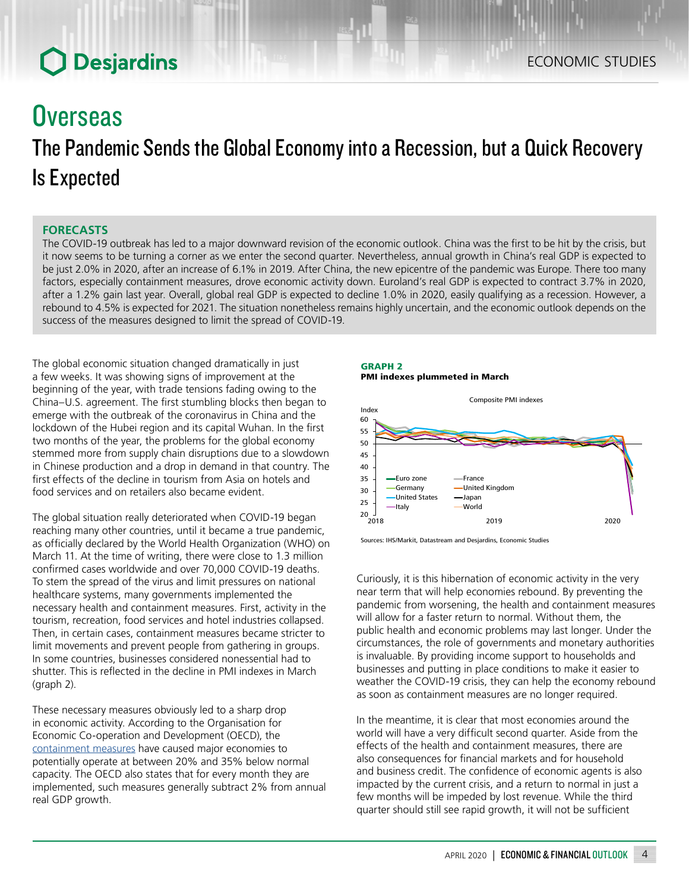## **Overseas**

## The Pandemic Sends the Global Economy into a Recession, but a Quick Recovery Is Expected

## **FORECASTS**

The COVID‑19 outbreak has led to a major downward revision of the economic outlook. China was the first to be hit by the crisis, but it now seems to be turning a corner as we enter the second quarter. Nevertheless, annual growth in China's real GDP is expected to be just 2.0% in 2020, after an increase of 6.1% in 2019. After China, the new epicentre of the pandemic was Europe. There too many factors, especially containment measures, drove economic activity down. Euroland's real GDP is expected to contract 3.7% in 2020, after a 1.2% gain last year. Overall, global real GDP is expected to decline 1.0% in 2020, easily qualifying as a recession. However, a rebound to 4.5% is expected for 2021. The situation nonetheless remains highly uncertain, and the economic outlook depends on the success of the measures designed to limit the spread of COVID-19.

The global economic situation changed dramatically in just a few weeks. It was showing signs of improvement at the beginning of the year, with trade tensions fading owing to the China–U.S. agreement. The first stumbling blocks then began to emerge with the outbreak of the coronavirus in China and the lockdown of the Hubei region and its capital Wuhan. In the first two months of the year, the problems for the global economy stemmed more from supply chain disruptions due to a slowdown in Chinese production and a drop in demand in that country. The first effects of the decline in tourism from Asia on hotels and food services and on retailers also became evident.

The global situation really deteriorated when COVID-19 began reaching many other countries, until it became a true pandemic, as officially declared by the World Health Organization (WHO) on March 11. At the time of writing, there were close to 1.3 million confirmed cases worldwide and over 70,000 COVID‑19 deaths. To stem the spread of the virus and limit pressures on national healthcare systems, many governments implemented the necessary health and containment measures. First, activity in the tourism, recreation, food services and hotel industries collapsed. Then, in certain cases, containment measures became stricter to limit movements and prevent people from gathering in groups. In some countries, businesses considered nonessential had to shutter. This is reflected in the decline in PMI indexes in March (graph 2).

These necessary measures obviously led to a sharp drop in economic activity. According to the Organisation for Economic Co-operation and Development (OECD), the [containment](https://read.oecd-ilibrary.org/view/?ref=126_126496-evgsi2gmqj&title=Evaluating_the_initial_impact_of_COVID-19_containment_measures_on_economic_activity) measures have caused major economies to potentially operate at between 20% and 35% below normal capacity. The OECD also states that for every month they are implemented, such measures generally subtract 2% from annual real GDP growth.





Sources: IHS/Markit, Datastream and Desjardins, Economic Studies

Curiously, it is this hibernation of economic activity in the very near term that will help economies rebound. By preventing the pandemic from worsening, the health and containment measures will allow for a faster return to normal. Without them, the public health and economic problems may last longer. Under the circumstances, the role of governments and monetary authorities is invaluable. By providing income support to households and businesses and putting in place conditions to make it easier to weather the COVID-19 crisis, they can help the economy rebound as soon as containment measures are no longer required.

In the meantime, it is clear that most economies around the world will have a very difficult second quarter. Aside from the effects of the health and containment measures, there are also consequences for financial markets and for household and business credit. The confidence of economic agents is also impacted by the current crisis, and a return to normal in just a few months will be impeded by lost revenue. While the third quarter should still see rapid growth, it will not be sufficient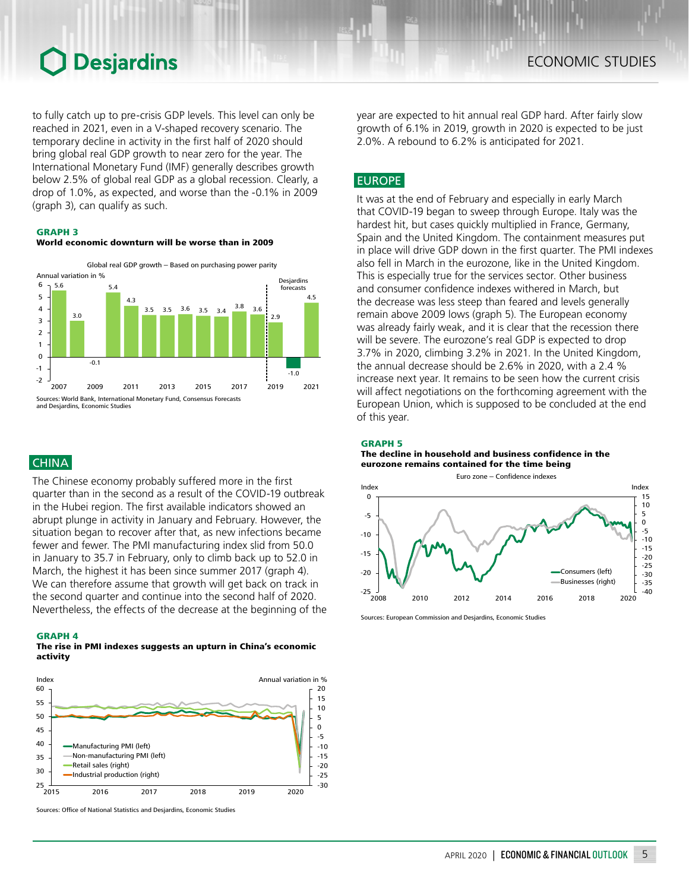to fully catch up to pre-crisis GDP levels. This level can only be reached in 2021, even in a V-shaped recovery scenario. The temporary decline in activity in the first half of 2020 should bring global real GDP growth to near zero for the year. The International Monetary Fund (IMF) generally describes growth below 2.5% of global real GDP as a global recession. Clearly, a drop of 1.0%, as expected, and worse than the -0.1% in 2009 (graph 3), can qualify as such.

#### GRAPH 3

#### World economic downturn will be worse than in 2009



### **CHINA**

The Chinese economy probably suffered more in the first quarter than in the second as a result of the COVID-19 outbreak in the Hubei region. The first available indicators showed an abrupt plunge in activity in January and February. However, the situation began to recover after that, as new infections became fewer and fewer. The PMI manufacturing index slid from 50.0 in January to 35.7 in February, only to climb back up to 52.0 in March, the highest it has been since summer 2017 (graph 4). We can therefore assume that growth will get back on track in the second quarter and continue into the second half of 2020. Nevertheless, the effects of the decrease at the beginning of the

#### GRAPH 4

#### The rise in PMI indexes suggests an upturn in China's economic activity



Sources: Office of National Statistics and Desjardins, Economic Studies

year are expected to hit annual real GDP hard. After fairly slow growth of 6.1% in 2019, growth in 2020 is expected to be just 2.0%. A rebound to 6.2% is anticipated for 2021.

## **EUROPE**

It was at the end of February and especially in early March that COVID-19 began to sweep through Europe. Italy was the hardest hit, but cases quickly multiplied in France, Germany, Spain and the United Kingdom. The containment measures put in place will drive GDP down in the first quarter. The PMI indexes also fell in March in the eurozone, like in the United Kingdom. This is especially true for the services sector. Other business and consumer confidence indexes withered in March, but the decrease was less steep than feared and levels generally remain above 2009 lows (graph 5). The European economy was already fairly weak, and it is clear that the recession there will be severe. The eurozone's real GDP is expected to drop 3.7% in 2020, climbing 3.2% in 2021. In the United Kingdom, the annual decrease should be 2.6% in 2020, with a 2.4 % increase next year. It remains to be seen how the current crisis will affect negotiations on the forthcoming agreement with the European Union, which is supposed to be concluded at the end of this year.

#### GRAPH 5

#### The decline in household and business confidence in the eurozone remains contained for the time being



Sources: European Commission and Desjardins, Economic Studies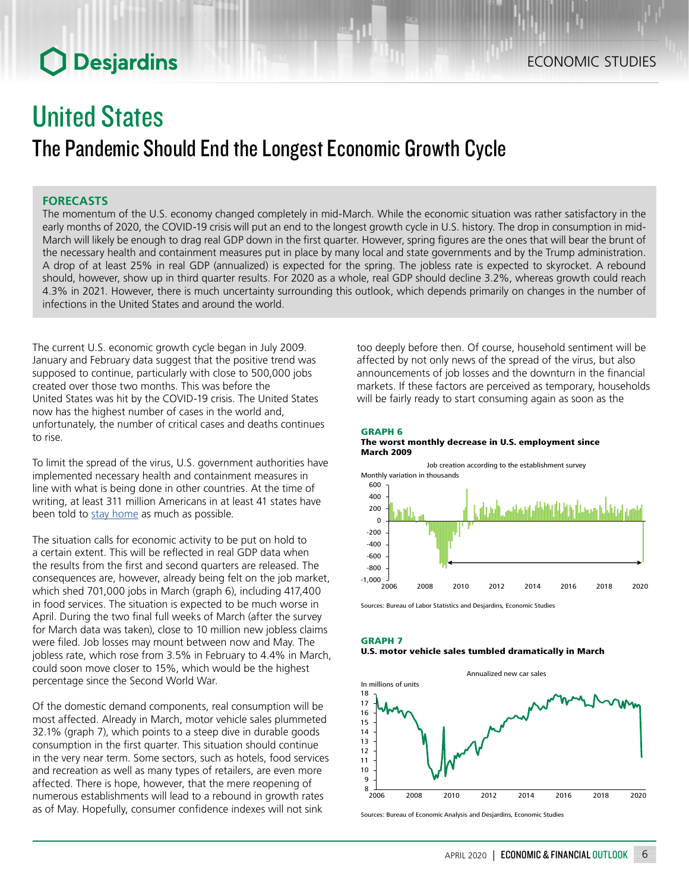## United States

## The Pandemic Should End the Longest Economic Growth Cycle

### **FORECASTS**

The momentum of the U.S. economy changed completely in mid-March. While the economic situation was rather satisfactory in the early months of 2020, the COVID-19 crisis will put an end to the longest growth cycle in U.S. history. The drop in consumption in mid-March will likely be enough to drag real GDP down in the first quarter. However, spring figures are the ones that will bear the brunt of the necessary health and containment measures put in place by many local and state governments and by the Trump administration. A drop of at least 25% in real GDP (annualized) is expected for the spring. The jobless rate is expected to skyrocket. A rebound should, however, show up in third quarter results. For 2020 as a whole, real GDP should decline 3.2%, whereas growth could reach 4.3% in 2021. However, there is much uncertainty surrounding this outlook, which depends primarily on changes in the number of infections in the United States and around the world.

The current U.S. economic growth cycle began in July 2009. January and February data suggest that the positive trend was supposed to continue, particularly with close to 500,000 jobs created over those two months. This was before the United States was hit by the COVID-19 crisis. The United States now has the highest number of cases in the world and, unfortunately, the number of critical cases and deaths continues to rise.

To limit the spread of the virus, U.S. government authorities have implemented necessary health and containment measures in line with what is being done in other countries. At the time of writing, at least 311 million Americans in at least 41 states have been told to [stay home](https://www.nytimes.com/interactive/2020/us/coronavirus-stay-at-home-order.html) as much as possible.

The situation calls for economic activity to be put on hold to a certain extent. This will be reflected in real GDP data when the results from the first and second quarters are released. The consequences are, however, already being felt on the job market, which shed 701,000 jobs in March (graph 6), including 417,400 in food services. The situation is expected to be much worse in April. During the two final full weeks of March (after the survey for March data was taken), close to 10 million new jobless claims were filed. Job losses may mount between now and May. The jobless rate, which rose from 3.5% in February to 4.4% in March, could soon move closer to 15%, which would be the highest percentage since the Second World War.

Of the domestic demand components, real consumption will be most affected. Already in March, motor vehicle sales plummeted 32.1% (graph 7), which points to a steep dive in durable goods consumption in the first quarter. This situation should continue in the very near term. Some sectors, such as hotels, food services and recreation as well as many types of retailers, are even more affected. There is hope, however, that the mere reopening of numerous establishments will lead to a rebound in growth rates as of May. Hopefully, consumer confidence indexes will not sink

too deeply before then. Of course, household sentiment will be affected by not only news of the spread of the virus, but also announcements of job losses and the downturn in the financial markets. If these factors are perceived as temporary, households will be fairly ready to start consuming again as soon as the

#### GRAPH 6 The worst monthly decrease in U.S. employment since March 2009



Sources: Bureau of Labor Statistics and Desiardins, Economic Studies

#### GRAPH 7 U.S. motor vehicle sales tumbled dramatically in March



Sources: Bureau of Economic Analysis and Desjardins, Economic Studies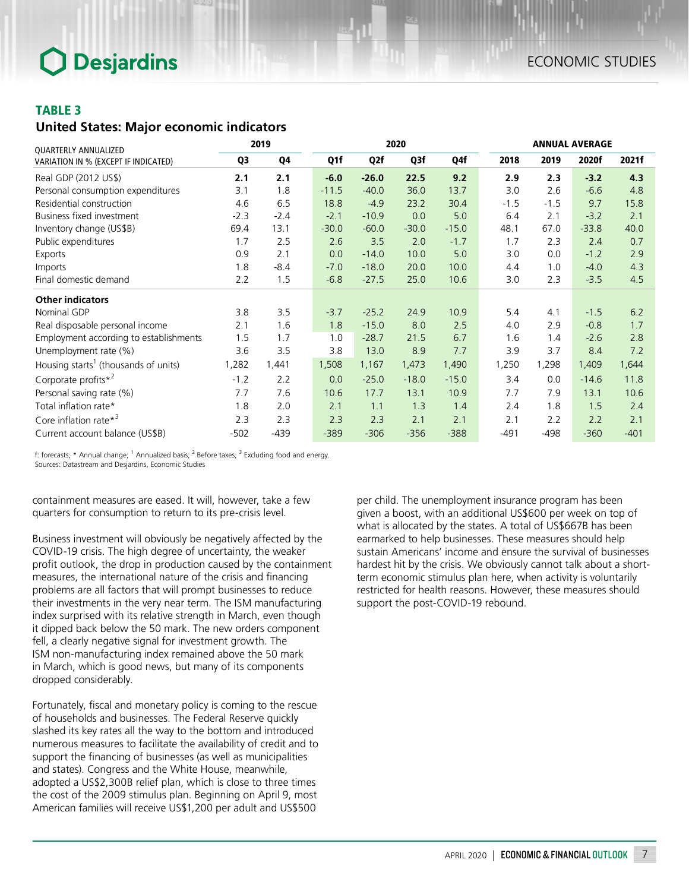## TABLE 3

### *United States: Major economic indicators*

| QUARTERLY ANNUALIZED                             |                | 2019<br>2020 |         |         |         |         |        | <b>ANNUAL AVERAGE</b> |         |        |  |  |
|--------------------------------------------------|----------------|--------------|---------|---------|---------|---------|--------|-----------------------|---------|--------|--|--|
| VARIATION IN % (EXCEPT IF INDICATED)             | Q <sub>3</sub> | Q4           | Q1f     | Q2f     | Q3f     | Q4f     | 2018   | 2019                  | 2020f   | 2021f  |  |  |
| Real GDP (2012 US\$)                             | 2.1            | 2.1          | $-6.0$  | $-26.0$ | 22.5    | 9.2     | 2.9    | 2.3                   | $-3.2$  | 4.3    |  |  |
| Personal consumption expenditures                | 3.1            | 1.8          | $-11.5$ | $-40.0$ | 36.0    | 13.7    | 3.0    | 2.6                   | $-6.6$  | 4.8    |  |  |
| Residential construction                         | 4.6            | 6.5          | 18.8    | $-4.9$  | 23.2    | 30.4    | $-1.5$ | $-1.5$                | 9.7     | 15.8   |  |  |
| <b>Business fixed investment</b>                 | $-2.3$         | $-2.4$       | $-2.1$  | $-10.9$ | 0.0     | 5.0     | 6.4    | 2.1                   | $-3.2$  | 2.1    |  |  |
| Inventory change (US\$B)                         | 69.4           | 13.1         | $-30.0$ | $-60.0$ | $-30.0$ | $-15.0$ | 48.1   | 67.0                  | $-33.8$ | 40.0   |  |  |
| Public expenditures                              | 1.7            | 2.5          | 2.6     | 3.5     | 2.0     | $-1.7$  | 1.7    | 2.3                   | 2.4     | 0.7    |  |  |
| Exports                                          | 0.9            | 2.1          | 0.0     | $-14.0$ | 10.0    | 5.0     | 3.0    | 0.0                   | $-1.2$  | 2.9    |  |  |
| Imports                                          | 1.8            | $-8.4$       | $-7.0$  | $-18.0$ | 20.0    | 10.0    | 4.4    | 1.0                   | $-4.0$  | 4.3    |  |  |
| Final domestic demand                            | 2.2            | 1.5          | $-6.8$  | $-27.5$ | 25.0    | 10.6    | 3.0    | 2.3                   | $-3.5$  | 4.5    |  |  |
| <b>Other indicators</b>                          |                |              |         |         |         |         |        |                       |         |        |  |  |
| Nominal GDP                                      | 3.8            | 3.5          | $-3.7$  | $-25.2$ | 24.9    | 10.9    | 5.4    | 4.1                   | $-1.5$  | 6.2    |  |  |
| Real disposable personal income                  | 2.1            | 1.6          | 1.8     | $-15.0$ | 8.0     | 2.5     | 4.0    | 2.9                   | $-0.8$  | 1.7    |  |  |
| Employment according to establishments           | 1.5            | 1.7          | 1.0     | $-28.7$ | 21.5    | 6.7     | 1.6    | 1.4                   | $-2.6$  | 2.8    |  |  |
| Unemployment rate (%)                            | 3.6            | 3.5          | 3.8     | 13.0    | 8.9     | 7.7     | 3.9    | 3.7                   | 8.4     | 7.2    |  |  |
| Housing starts <sup>1</sup> (thousands of units) | 1,282          | 1,441        | 1,508   | 1,167   | 1,473   | 1,490   | 1,250  | 1,298                 | 1,409   | 1,644  |  |  |
| Corporate profits $*^2$                          | $-1.2$         | 2.2          | 0.0     | $-25.0$ | $-18.0$ | $-15.0$ | 3.4    | 0.0                   | $-14.6$ | 11.8   |  |  |
| Personal saving rate (%)                         | 7.7            | 7.6          | 10.6    | 17.7    | 13.1    | 10.9    | 7.7    | 7.9                   | 13.1    | 10.6   |  |  |
| Total inflation rate*                            | 1.8            | 2.0          | 2.1     | 1.1     | 1.3     | 1.4     | 2.4    | 1.8                   | 1.5     | 2.4    |  |  |
| Core inflation rate $*^3$                        | 2.3            | 2.3          | 2.3     | 2.3     | 2.1     | 2.1     | 2.1    | 2.2                   | 2.2     | 2.1    |  |  |
| Current account balance (US\$B)                  | $-502$         | $-439$       | $-389$  | $-306$  | $-356$  | $-388$  | $-491$ | $-498$                | $-360$  | $-401$ |  |  |

f: forecasts; \* Annual change; <sup>1</sup> Annualized basis; <sup>2</sup> Before taxes; <sup>3</sup> Excluding food and energy. Sources: Datastream and Desjardins, Economic Studies

containment measures are eased. It will, however, take a few quarters for consumption to return to its pre-crisis level.

Business investment will obviously be negatively affected by the COVID-19 crisis. The high degree of uncertainty, the weaker profit outlook, the drop in production caused by the containment measures, the international nature of the crisis and financing problems are all factors that will prompt businesses to reduce their investments in the very near term. The ISM manufacturing index surprised with its relative strength in March, even though it dipped back below the 50 mark. The new orders component fell, a clearly negative signal for investment growth. The ISM non-manufacturing index remained above the 50 mark in March, which is good news, but many of its components dropped considerably.

Fortunately, fiscal and monetary policy is coming to the rescue of households and businesses. The Federal Reserve quickly slashed its key rates all the way to the bottom and introduced numerous measures to facilitate the availability of credit and to support the financing of businesses (as well as municipalities and states). Congress and the White House, meanwhile, adopted a US\$2,300B relief plan, which is close to three times the cost of the 2009 stimulus plan. Beginning on April 9, most American families will receive US\$1,200 per adult and US\$500

per child. The unemployment insurance program has been given a boost, with an additional US\$600 per week on top of what is allocated by the states. A total of US\$667B has been earmarked to help businesses. These measures should help sustain Americans' income and ensure the survival of businesses hardest hit by the crisis. We obviously cannot talk about a shortterm economic stimulus plan here, when activity is voluntarily restricted for health reasons. However, these measures should support the post-COVID-19 rebound.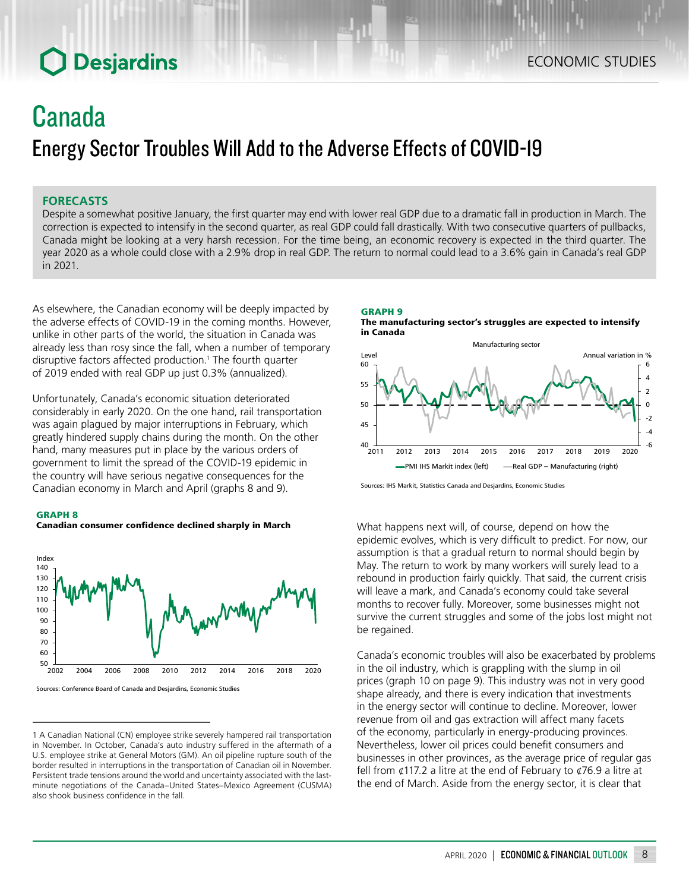## Canada Energy Sector Troubles Will Add to the Adverse Effects of COVID-19

### **FORECASTS**

Despite a somewhat positive January, the first quarter may end with lower real GDP due to a dramatic fall in production in March. The correction is expected to intensify in the second quarter, as real GDP could fall drastically. With two consecutive quarters of pullbacks, Canada might be looking at a very harsh recession. For the time being, an economic recovery is expected in the third quarter. The year 2020 as a whole could close with a 2.9% drop in real GDP. The return to normal could lead to a 3.6% gain in Canada's real GDP in 2021.

As elsewhere, the Canadian economy will be deeply impacted by the adverse effects of COVID-19 in the coming months. However, unlike in other parts of the world, the situation in Canada was already less than rosy since the fall, when a number of temporary disruptive factors affected production.<sup>1</sup> The fourth quarter of 2019 ended with real GDP up just 0.3% (annualized).

Unfortunately, Canada's economic situation deteriorated considerably in early 2020. On the one hand, rail transportation was again plagued by major interruptions in February, which greatly hindered supply chains during the month. On the other hand, many measures put in place by the various orders of government to limit the spread of the COVID-19 epidemic in the country will have serious negative consequences for the Canadian economy in March and April (graphs 8 and 9).

#### GRAPH 8





<sup>1</sup> A Canadian National (CN) employee strike severely hampered rail transportation in November. In October, Canada's auto industry suffered in the aftermath of a U.S. employee strike at General Motors (GM). An oil pipeline rupture south of the border resulted in interruptions in the transportation of Canadian oil in November. Persistent trade tensions around the world and uncertainty associated with the lastminute negotiations of the Canada–United States–Mexico Agreement (CUSMA) also shook business confidence in the fall.

GRAPH 9 The manufacturing sector's struggles are expected to intensify in Canada



Sources: IHS Markit, Statistics Canada and Desjardins, Economic Studies

What happens next will, of course, depend on how the epidemic evolves, which is very difficult to predict. For now, our assumption is that a gradual return to normal should begin by May. The return to work by many workers will surely lead to a rebound in production fairly quickly. That said, the current crisis will leave a mark, and Canada's economy could take several months to recover fully. Moreover, some businesses might not survive the current struggles and some of the jobs lost might not be regained.

Canada's economic troubles will also be exacerbated by problems in the oil industry, which is grappling with the slump in oil prices (graph 10 on page 9). This industry was not in very good shape already, and there is every indication that investments in the energy sector will continue to decline. Moreover, lower revenue from oil and gas extraction will affect many facets of the economy, particularly in energy-producing provinces. Nevertheless, lower oil prices could benefit consumers and businesses in other provinces, as the average price of regular gas fell from  $\ell$ 117.2 a litre at the end of February to  $\ell$ 76.9 a litre at the end of March. Aside from the energy sector, it is clear that